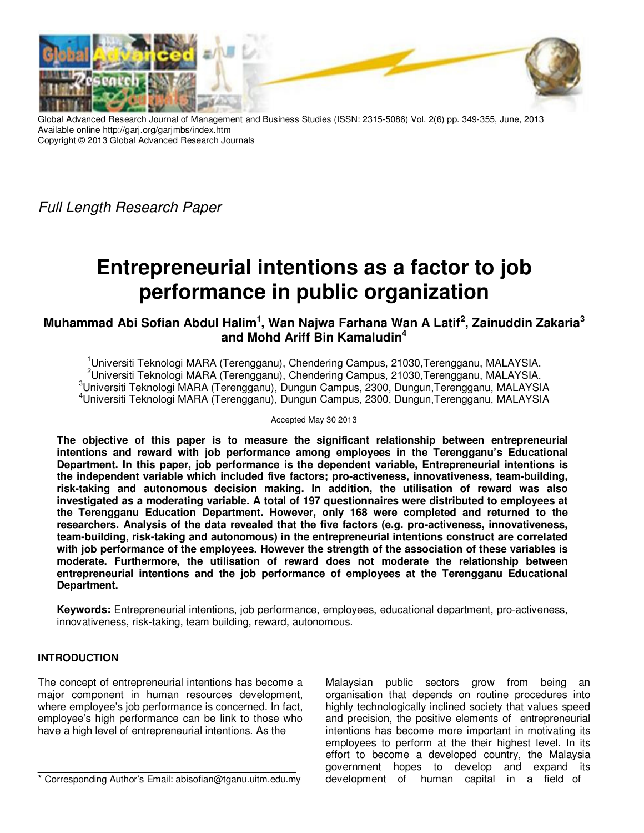

Global Advanced Research Journal of Management and Business Studies (ISSN: 2315-5086) Vol. 2(6) pp. 349-355, June, 2013 Available online http://garj.org/garjmbs/index.htm Copyright © 2013 Global Advanced Research Journals

Full Length Research Paper

# **Entrepreneurial intentions as a factor to job performance in public organization**

**Muhammad Abi Sofian Abdul Halim<sup>1</sup> , Wan Najwa Farhana Wan A Latif<sup>2</sup> , Zainuddin Zakaria<sup>3</sup> and Mohd Ariff Bin Kamaludin<sup>4</sup>**

Universiti Teknologi MARA (Terengganu), Chendering Campus, 21030,Terengganu, MALAYSIA. Universiti Teknologi MARA (Terengganu), Chendering Campus, 21030,Terengganu, MALAYSIA. Universiti Teknologi MARA (Terengganu), Dungun Campus, 2300, Dungun,Terengganu, MALAYSIA Universiti Teknologi MARA (Terengganu), Dungun Campus, 2300, Dungun,Terengganu, MALAYSIA

Accepted May 30 2013

**The objective of this paper is to measure the significant relationship between entrepreneurial intentions and reward with job performance among employees in the Terengganu's Educational Department. In this paper, job performance is the dependent variable, Entrepreneurial intentions is the independent variable which included five factors; pro-activeness, innovativeness, team-building, risk-taking and autonomous decision making. In addition, the utilisation of reward was also investigated as a moderating variable. A total of 197 questionnaires were distributed to employees at the Terengganu Education Department. However, only 168 were completed and returned to the researchers. Analysis of the data revealed that the five factors (e.g. pro-activeness, innovativeness, team-building, risk-taking and autonomous) in the entrepreneurial intentions construct are correlated with job performance of the employees. However the strength of the association of these variables is moderate. Furthermore, the utilisation of reward does not moderate the relationship between entrepreneurial intentions and the job performance of employees at the Terengganu Educational Department.** 

**Keywords:** Entrepreneurial intentions, job performance, employees, educational department, pro-activeness, innovativeness, risk-taking, team building, reward, autonomous.

# **INTRODUCTION**

The concept of entrepreneurial intentions has become a major component in human resources development, where employee's job performance is concerned. In fact, employee's high performance can be link to those who have a high level of entrepreneurial intentions. As the

\* Corresponding Author's Email: abisofian@tganu.uitm.edu.my

Malaysian public sectors grow from being an organisation that depends on routine procedures into highly technologically inclined society that values speed and precision, the positive elements of entrepreneurial intentions has become more important in motivating its employees to perform at the their highest level. In its effort to become a developed country, the Malaysia government hopes to develop and expand its development of human capital in a field of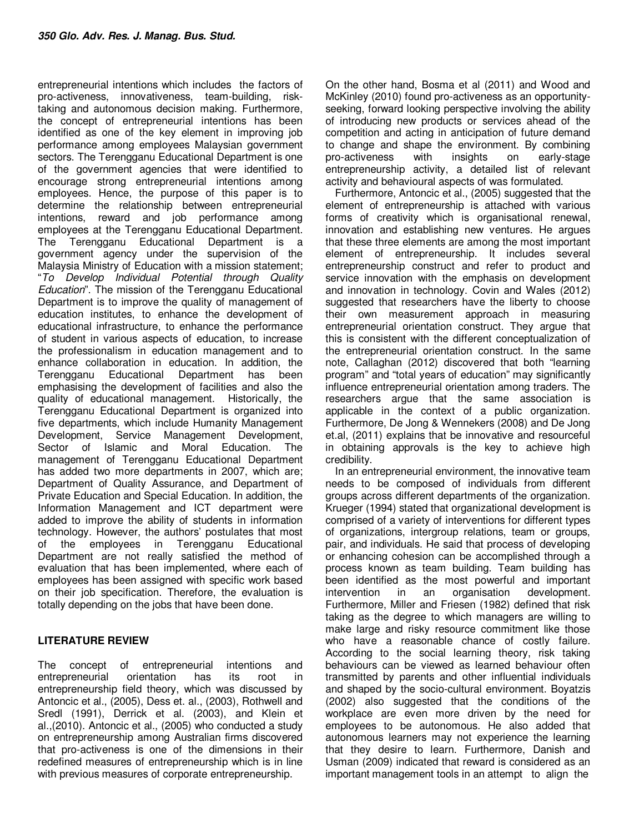entrepreneurial intentions which includes the factors of pro-activeness, innovativeness, team-building, risktaking and autonomous decision making. Furthermore, the concept of entrepreneurial intentions has been identified as one of the key element in improving job performance among employees Malaysian government sectors. The Terengganu Educational Department is one of the government agencies that were identified to encourage strong entrepreneurial intentions among employees. Hence, the purpose of this paper is to determine the relationship between entrepreneurial intentions, reward and job performance among employees at the Terengganu Educational Department. The Terengganu Educational Department is a government agency under the supervision of the Malaysia Ministry of Education with a mission statement; "To Develop Individual Potential through Quality Education". The mission of the Terengganu Educational Department is to improve the quality of management of education institutes, to enhance the development of educational infrastructure, to enhance the performance of student in various aspects of education, to increase the professionalism in education management and to enhance collaboration in education. In addition, the Terengganu Educational Department has been emphasising the development of facilities and also the quality of educational management. Historically, the Terengganu Educational Department is organized into five departments, which include Humanity Management Development, Service Management Development, Sector of Islamic and Moral Education. The management of Terengganu Educational Department has added two more departments in 2007, which are; Department of Quality Assurance, and Department of Private Education and Special Education. In addition, the Information Management and ICT department were added to improve the ability of students in information technology. However, the authors' postulates that most of the employees in Terengganu Educational Department are not really satisfied the method of evaluation that has been implemented, where each of employees has been assigned with specific work based on their job specification. Therefore, the evaluation is totally depending on the jobs that have been done.

# **LITERATURE REVIEW**

The concept of entrepreneurial intentions and entrepreneurial orientation has its root in entrepreneurship field theory, which was discussed by Antoncic et al., (2005), Dess et. al., (2003), Rothwell and Sredl (1991), Derrick et al. (2003), and Klein et al.,(2010). Antoncic et al., (2005) who conducted a study on entrepreneurship among Australian firms discovered that pro-activeness is one of the dimensions in their redefined measures of entrepreneurship which is in line with previous measures of corporate entrepreneurship.

On the other hand, Bosma et al (2011) and Wood and McKinley (2010) found pro-activeness as an opportunityseeking, forward looking perspective involving the ability of introducing new products or services ahead of the competition and acting in anticipation of future demand to change and shape the environment. By combining pro-activeness with insights on early-stage entrepreneurship activity, a detailed list of relevant activity and behavioural aspects of was formulated.

Furthermore, Antoncic et al., (2005) suggested that the element of entrepreneurship is attached with various forms of creativity which is organisational renewal, innovation and establishing new ventures. He argues that these three elements are among the most important element of entrepreneurship. It includes several entrepreneurship construct and refer to product and service innovation with the emphasis on development and innovation in technology. Covin and Wales (2012) suggested that researchers have the liberty to choose their own measurement approach in measuring entrepreneurial orientation construct. They argue that this is consistent with the different conceptualization of the entrepreneurial orientation construct. In the same note, Callaghan (2012) discovered that both "learning program" and "total years of education" may significantly influence entrepreneurial orientation among traders. The researchers argue that the same association is applicable in the context of a public organization. Furthermore, De Jong & Wennekers (2008) and De Jong et.al, (2011) explains that be innovative and resourceful in obtaining approvals is the key to achieve high credibility.

In an entrepreneurial environment, the innovative team needs to be composed of individuals from different groups across different departments of the organization. Krueger (1994) stated that organizational development is comprised of a variety of interventions for different types of organizations, intergroup relations, team or groups, pair, and individuals. He said that process of developing or enhancing cohesion can be accomplished through a process known as team building. Team building has been identified as the most powerful and important intervention in an organisation development. Furthermore, Miller and Friesen (1982) defined that risk taking as the degree to which managers are willing to make large and risky resource commitment like those who have a reasonable chance of costly failure. According to the social learning theory, risk taking behaviours can be viewed as learned behaviour often transmitted by parents and other influential individuals and shaped by the socio-cultural environment. Boyatzis (2002) also suggested that the conditions of the workplace are even more driven by the need for employees to be autonomous. He also added that autonomous learners may not experience the learning that they desire to learn. Furthermore, Danish and Usman (2009) indicated that reward is considered as an important management tools in an attempt to align the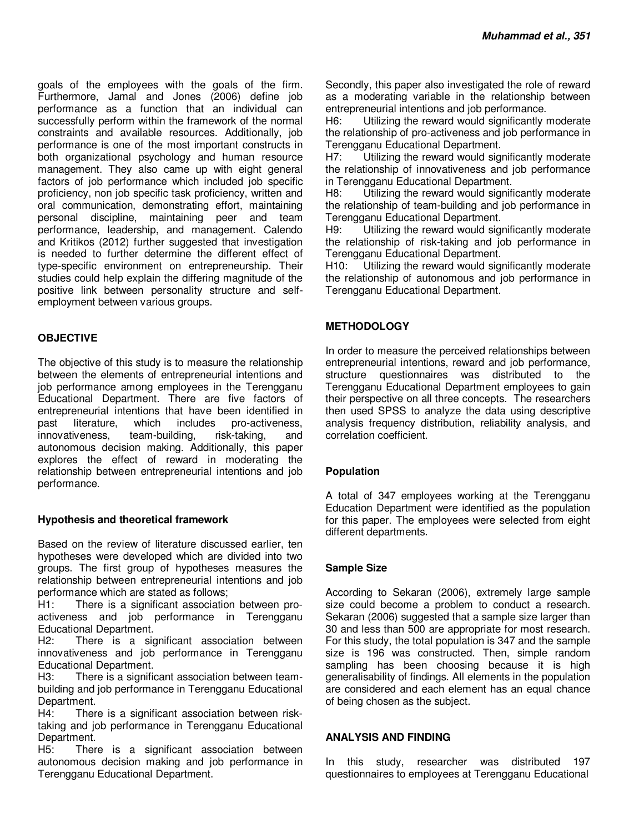goals of the employees with the goals of the firm. Furthermore, Jamal and Jones (2006) define job performance as a function that an individual can successfully perform within the framework of the normal constraints and available resources. Additionally, job performance is one of the most important constructs in both organizational psychology and human resource management. They also came up with eight general factors of job performance which included job specific proficiency, non job specific task proficiency, written and oral communication, demonstrating effort, maintaining personal discipline, maintaining peer and team performance, leadership, and management. Calendo and Kritikos (2012) further suggested that investigation is needed to further determine the different effect of type-specific environment on entrepreneurship. Their studies could help explain the differing magnitude of the positive link between personality structure and selfemployment between various groups.

# **OBJECTIVE**

The objective of this study is to measure the relationship between the elements of entrepreneurial intentions and job performance among employees in the Terengganu Educational Department. There are five factors of entrepreneurial intentions that have been identified in past literature, which includes pro-activeness, innovativeness, team-building, risk-taking, and autonomous decision making. Additionally, this paper explores the effect of reward in moderating the relationship between entrepreneurial intentions and job performance.

## **Hypothesis and theoretical framework**

Based on the review of literature discussed earlier, ten hypotheses were developed which are divided into two groups. The first group of hypotheses measures the relationship between entrepreneurial intentions and job performance which are stated as follows;

H1: There is a significant association between proactiveness and job performance in Terengganu Educational Department.

H2: There is a significant association between innovativeness and job performance in Terengganu Educational Department.

H3: There is a significant association between teambuilding and job performance in Terengganu Educational Department.

H4: There is a significant association between risktaking and job performance in Terengganu Educational Department.

H5: There is a significant association between autonomous decision making and job performance in Terengganu Educational Department.

Secondly, this paper also investigated the role of reward as a moderating variable in the relationship between entrepreneurial intentions and job performance.

H6: Utilizing the reward would significantly moderate the relationship of pro-activeness and job performance in Terengganu Educational Department.

H7: Utilizing the reward would significantly moderate the relationship of innovativeness and job performance in Terengganu Educational Department.

H8: Utilizing the reward would significantly moderate the relationship of team-building and job performance in Terengganu Educational Department.

H9: Utilizing the reward would significantly moderate the relationship of risk-taking and job performance in Terengganu Educational Department.

H10: Utilizing the reward would significantly moderate the relationship of autonomous and job performance in Terengganu Educational Department.

# **METHODOLOGY**

In order to measure the perceived relationships between entrepreneurial intentions, reward and job performance, structure questionnaires was distributed to the Terengganu Educational Department employees to gain their perspective on all three concepts. The researchers then used SPSS to analyze the data using descriptive analysis frequency distribution, reliability analysis, and correlation coefficient.

## **Population**

A total of 347 employees working at the Terengganu Education Department were identified as the population for this paper. The employees were selected from eight different departments.

## **Sample Size**

According to Sekaran (2006), extremely large sample size could become a problem to conduct a research. Sekaran (2006) suggested that a sample size larger than 30 and less than 500 are appropriate for most research. For this study, the total population is 347 and the sample size is 196 was constructed. Then, simple random sampling has been choosing because it is high generalisability of findings. All elements in the population are considered and each element has an equal chance of being chosen as the subject.

## **ANALYSIS AND FINDING**

In this study, researcher was distributed 197 questionnaires to employees at Terengganu Educational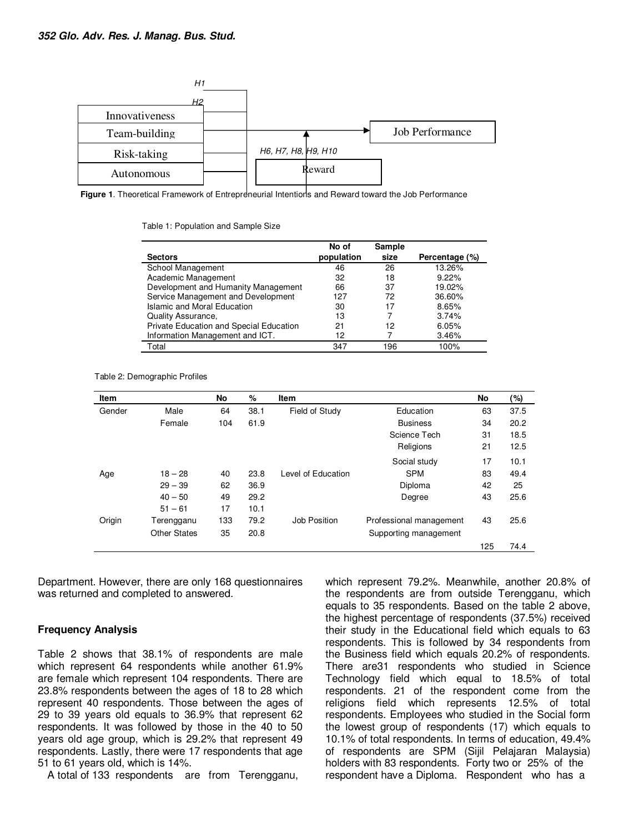

**Figure 1**. Theoretical Framework of Entrepreneurial Intentions and Reward toward the Job Performance

Table 1: Population and Sample Size

|                                         | No of      | Sample |                |
|-----------------------------------------|------------|--------|----------------|
| <b>Sectors</b>                          | population | size   | Percentage (%) |
| School Management                       | 46         | 26     | 13.26%         |
| Academic Management                     | 32         | 18     | 9.22%          |
| Development and Humanity Management     | 66         | 37     | 19.02%         |
| Service Management and Development      | 127        | 72     | $36.60\%$      |
| Islamic and Moral Education             | 30         | 17     | 8.65%          |
| Quality Assurance,                      | 13         |        | 3.74%          |
| Private Education and Special Education | 21         | 12     | 6.05%          |
| Information Management and ICT.         | 12         |        | 3.46%          |
| Total                                   | 347        | 196    | 100%           |

Table 2: Demographic Profiles

| <b>Item</b> |              | No  | %    | <b>Item</b>        |                         | No  | (%)  |
|-------------|--------------|-----|------|--------------------|-------------------------|-----|------|
| Gender      | Male         | 64  | 38.1 | Field of Study     | Education               | 63  | 37.5 |
|             | Female       | 104 | 61.9 |                    | <b>Business</b>         | 34  | 20.2 |
|             |              |     |      |                    | Science Tech            | 31  | 18.5 |
|             |              |     |      |                    | Religions               | 21  | 12.5 |
|             |              |     |      |                    | Social study            | 17  | 10.1 |
| Age         | $18 - 28$    | 40  | 23.8 | Level of Education | <b>SPM</b>              | 83  | 49.4 |
|             | $29 - 39$    | 62  | 36.9 |                    | Diploma                 | 42  | 25   |
|             | $40 - 50$    | 49  | 29.2 |                    | Degree                  | 43  | 25.6 |
|             | $51 - 61$    | 17  | 10.1 |                    |                         |     |      |
| Origin      | Terengganu   | 133 | 79.2 | Job Position       | Professional management | 43  | 25.6 |
|             | Other States | 35  | 20.8 |                    | Supporting management   |     |      |
|             |              |     |      |                    |                         | 125 | 74.4 |

Department. However, there are only 168 questionnaires was returned and completed to answered.

#### **Frequency Analysis**

Table 2 shows that 38.1% of respondents are male which represent 64 respondents while another 61.9% are female which represent 104 respondents. There are 23.8% respondents between the ages of 18 to 28 which represent 40 respondents. Those between the ages of 29 to 39 years old equals to 36.9% that represent 62 respondents. It was followed by those in the 40 to 50 years old age group, which is 29.2% that represent 49 respondents. Lastly, there were 17 respondents that age 51 to 61 years old, which is 14%.

A total of 133 respondents are from Terengganu,

which represent 79.2%. Meanwhile, another 20.8% of the respondents are from outside Terengganu, which equals to 35 respondents. Based on the table 2 above, the highest percentage of respondents (37.5%) received their study in the Educational field which equals to 63 respondents. This is followed by 34 respondents from the Business field which equals 20.2% of respondents. There are31 respondents who studied in Science Technology field which equal to 18.5% of total respondents. 21 of the respondent come from the religions field which represents 12.5% of total respondents. Employees who studied in the Social form the lowest group of respondents (17) which equals to 10.1% of total respondents. In terms of education, 49.4% of respondents are SPM (Sijil Pelajaran Malaysia) holders with 83 respondents. Forty two or 25% of the respondent have a Diploma. Respondent who has a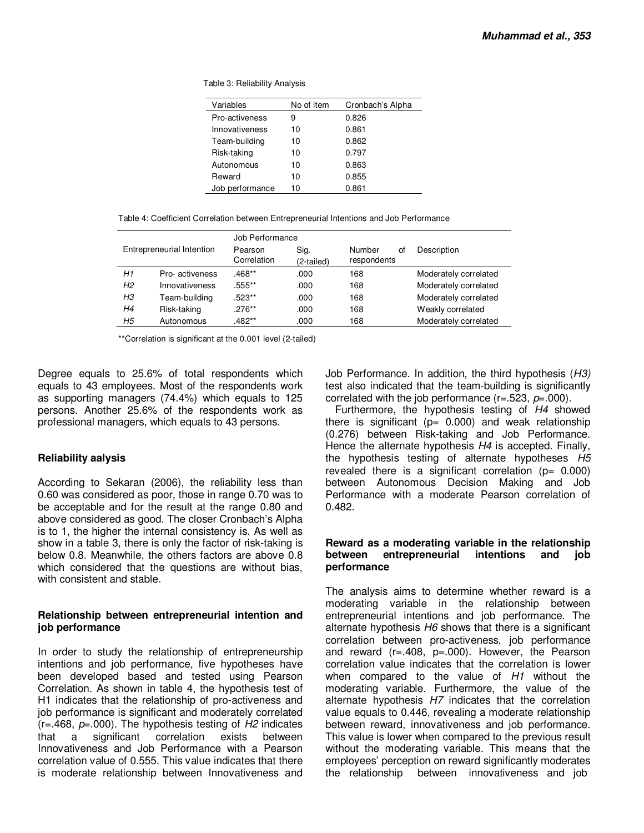Table 3: Reliability Analysis

| Variables       | No of item | Cronbach's Alpha |
|-----------------|------------|------------------|
| Pro-activeness  | 9          | 0.826            |
| Innovativeness  | 10         | 0.861            |
| Team-building   | 10         | 0.862            |
| Risk-taking     | 10         | 0.797            |
| Autonomous      | 10         | 0.863            |
| Reward          | 10         | 0.855            |
| Job performance | 10         | 0.861            |

| Table 4: Coefficient Correlation between Entrepreneurial Intentions and Job Performance |  |  |  |  |
|-----------------------------------------------------------------------------------------|--|--|--|--|
|-----------------------------------------------------------------------------------------|--|--|--|--|

|    |                           | Job Performance        |                    |                             |                       |
|----|---------------------------|------------------------|--------------------|-----------------------------|-----------------------|
|    | Entrepreneurial Intention | Pearson<br>Correlation | Sig.<br>(2-tailed) | Number<br>οf<br>respondents | Description           |
| Н1 | Pro-activeness            | .468**                 | .000               | 168                         | Moderately correlated |
| Н2 | Innovativeness            | .555**                 | .000               | 168                         | Moderately correlated |
| HЗ | Team-building             | $.523**$               | .000               | 168                         | Moderately correlated |
| Η4 | Risk-taking               | $.276**$               | .000               | 168                         | Weakly correlated     |
| Н5 | Autonomous                | .482**                 | .000               | 168                         | Moderately correlated |

\*\*Correlation is significant at the 0.001 level (2-tailed)

Degree equals to 25.6% of total respondents which equals to 43 employees. Most of the respondents work as supporting managers (74.4%) which equals to 125 persons. Another 25.6% of the respondents work as professional managers, which equals to 43 persons.

#### **Reliability aalysis**

According to Sekaran (2006), the reliability less than 0.60 was considered as poor, those in range 0.70 was to be acceptable and for the result at the range 0.80 and above considered as good. The closer Cronbach's Alpha is to 1, the higher the internal consistency is. As well as show in a table 3, there is only the factor of risk-taking is below 0.8. Meanwhile, the others factors are above 0.8 which considered that the questions are without bias, with consistent and stable.

#### **Relationship between entrepreneurial intention and job performance**

In order to study the relationship of entrepreneurship intentions and job performance, five hypotheses have been developed based and tested using Pearson Correlation. As shown in table 4, the hypothesis test of H1 indicates that the relationship of pro-activeness and job performance is significant and moderately correlated  $(r=468, p=.000)$ . The hypothesis testing of H2 indicates that a significant correlation exists between Innovativeness and Job Performance with a Pearson correlation value of 0.555. This value indicates that there is moderate relationship between Innovativeness and Job Performance. In addition, the third hypothesis (H3) test also indicated that the team-building is significantly correlated with the job performance ( $r = .523$ ,  $p = .000$ ).

Furthermore, the hypothesis testing of H4 showed there is significant ( $p= 0.000$ ) and weak relationship (0.276) between Risk-taking and Job Performance. Hence the alternate hypothesis H4 is accepted. Finally, the hypothesis testing of alternate hypotheses H5 revealed there is a significant correlation  $(p= 0.000)$ between Autonomous Decision Making and Job Performance with a moderate Pearson correlation of 0.482.

#### **Reward as a moderating variable in the relationship between entrepreneurial intentions and job performance**

The analysis aims to determine whether reward is a moderating variable in the relationship between entrepreneurial intentions and job performance. The alternate hypothesis H6 shows that there is a significant correlation between pro-activeness, job performance and reward  $(r=.408, p=.000)$ . However, the Pearson correlation value indicates that the correlation is lower when compared to the value of H1 without the moderating variable. Furthermore, the value of the alternate hypothesis H7 indicates that the correlation value equals to 0.446, revealing a moderate relationship between reward, innovativeness and job performance. This value is lower when compared to the previous result without the moderating variable. This means that the employees' perception on reward significantly moderates the relationship between innovativeness and job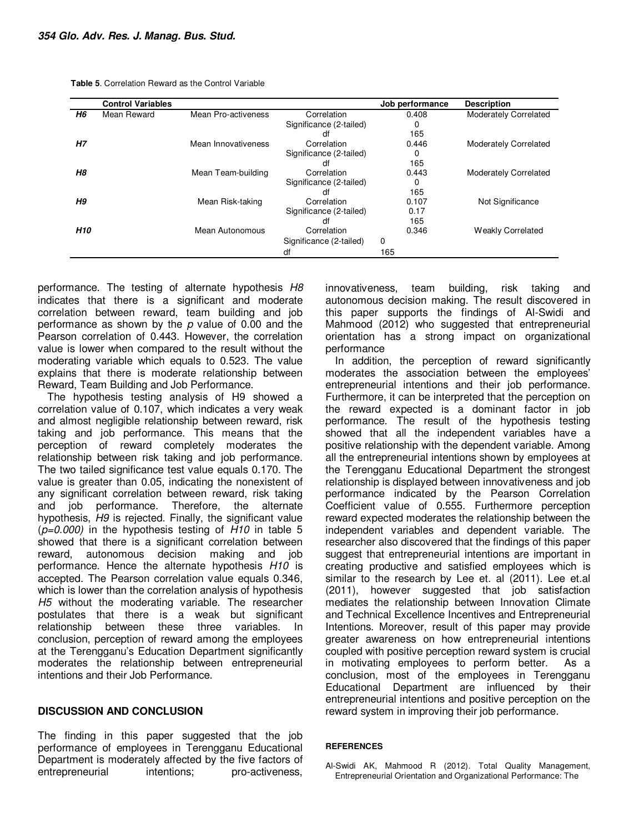|            | <b>Control Variables</b> |                     |                         | Job performance | <b>Description</b>           |
|------------|--------------------------|---------------------|-------------------------|-----------------|------------------------------|
| H6         | Mean Reward              | Mean Pro-activeness | Correlation             | 0.408           | Moderately Correlated        |
|            |                          |                     | Significance (2-tailed) | 0               |                              |
|            |                          |                     | df                      | 165             |                              |
| H7         |                          | Mean Innovativeness | Correlation             | 0.446           | <b>Moderately Correlated</b> |
|            |                          |                     | Significance (2-tailed) | 0               |                              |
|            |                          |                     | df                      | 165             |                              |
| H8         |                          | Mean Team-building  | Correlation             | 0.443           | Moderately Correlated        |
|            |                          |                     | Significance (2-tailed) | 0               |                              |
|            |                          |                     | df                      | 165             |                              |
| H9         |                          | Mean Risk-taking    | Correlation             | 0.107           | Not Significance             |
|            |                          |                     | Significance (2-tailed) | 0.17            |                              |
|            |                          |                     | df                      | 165             |                              |
| <b>H10</b> |                          | Mean Autonomous     | Correlation             | 0.346           | <b>Weakly Correlated</b>     |
|            |                          |                     | Significance (2-tailed) | 0               |                              |
|            |                          |                     | df                      | 165             |                              |

**Table 5**. Correlation Reward as the Control Variable

performance. The testing of alternate hypothesis H8 indicates that there is a significant and moderate correlation between reward, team building and job performance as shown by the  $p$  value of 0.00 and the Pearson correlation of 0.443. However, the correlation value is lower when compared to the result without the moderating variable which equals to 0.523. The value explains that there is moderate relationship between Reward, Team Building and Job Performance.

The hypothesis testing analysis of H9 showed a correlation value of 0.107, which indicates a very weak and almost negligible relationship between reward, risk taking and job performance. This means that the perception of reward completely moderates the relationship between risk taking and job performance. The two tailed significance test value equals 0.170. The value is greater than 0.05, indicating the nonexistent of any significant correlation between reward, risk taking and job performance. Therefore, the alternate hypothesis, H9 is rejected. Finally, the significant value  $(p=0.000)$  in the hypothesis testing of H10 in table 5 showed that there is a significant correlation between reward, autonomous decision making and job performance. Hence the alternate hypothesis H10 is accepted. The Pearson correlation value equals 0.346, which is lower than the correlation analysis of hypothesis H5 without the moderating variable. The researcher postulates that there is a weak but significant relationship between these three variables. In conclusion, perception of reward among the employees at the Terengganu's Education Department significantly moderates the relationship between entrepreneurial intentions and their Job Performance.

#### **DISCUSSION AND CONCLUSION**

The finding in this paper suggested that the job performance of employees in Terengganu Educational Department is moderately affected by the five factors of entrepreneurial intentions; pro-activeness,

innovativeness, team building, risk taking and autonomous decision making. The result discovered in this paper supports the findings of Al-Swidi and Mahmood (2012) who suggested that entrepreneurial orientation has a strong impact on organizational performance

In addition, the perception of reward significantly moderates the association between the employees' entrepreneurial intentions and their job performance. Furthermore, it can be interpreted that the perception on the reward expected is a dominant factor in job performance. The result of the hypothesis testing showed that all the independent variables have a positive relationship with the dependent variable. Among all the entrepreneurial intentions shown by employees at the Terengganu Educational Department the strongest relationship is displayed between innovativeness and job performance indicated by the Pearson Correlation Coefficient value of 0.555. Furthermore perception reward expected moderates the relationship between the independent variables and dependent variable. The researcher also discovered that the findings of this paper suggest that entrepreneurial intentions are important in creating productive and satisfied employees which is similar to the research by Lee et. al (2011). Lee et.al (2011), however suggested that job satisfaction mediates the relationship between Innovation Climate and Technical Excellence Incentives and Entrepreneurial Intentions. Moreover, result of this paper may provide greater awareness on how entrepreneurial intentions coupled with positive perception reward system is crucial in motivating employees to perform better. As a conclusion, most of the employees in Terengganu Educational Department are influenced by their entrepreneurial intentions and positive perception on the reward system in improving their job performance.

#### **REFERENCES**

Al-Swidi AK, Mahmood R (2012). Total Quality Management, Entrepreneurial Orientation and Organizational Performance: The